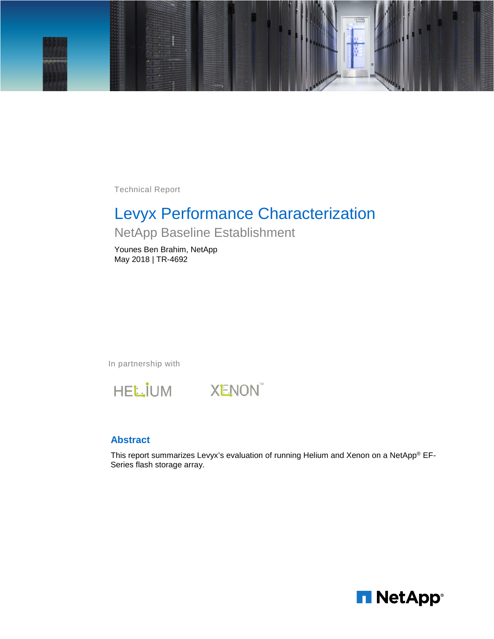

Technical Report

# Levyx Performance Characterization

## NetApp Baseline Establishment

Younes Ben Brahim, NetApp May 2018 | TR-4692

In partnership with





### **Abstract**

This report summarizes Levyx's evaluation of running Helium and Xenon on a NetApp® EF-Series flash storage array.

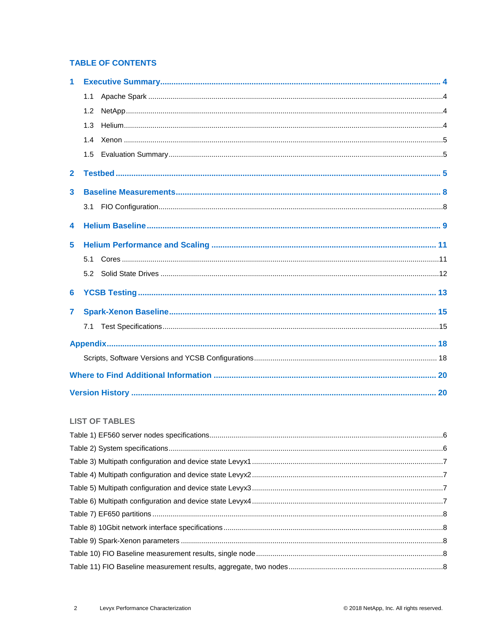### **TABLE OF CONTENTS**

| 1            |     |
|--------------|-----|
|              | 1.1 |
|              | 1.2 |
|              | 1.3 |
|              | 1.4 |
|              | 1.5 |
| $\mathbf{2}$ |     |
| 3            |     |
|              | 3.1 |
| 4            |     |
| 5            |     |
|              | 5.1 |
|              | 5.2 |
| 6            |     |
| 7            |     |
|              | 7.1 |
|              |     |
|              |     |
|              |     |
|              |     |

#### **LIST OF TABLES**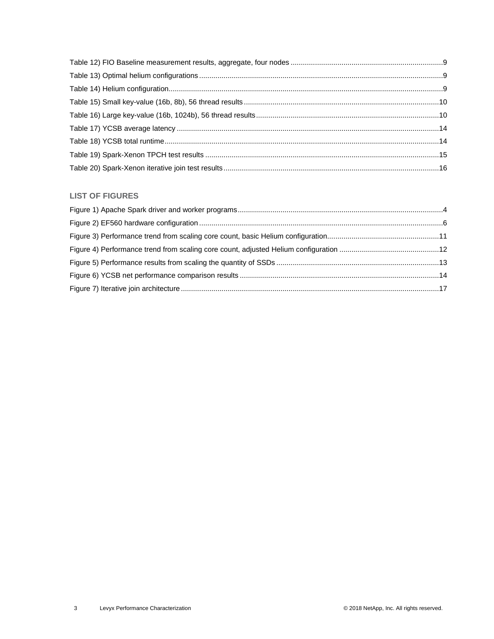### **LIST OF FIGURES**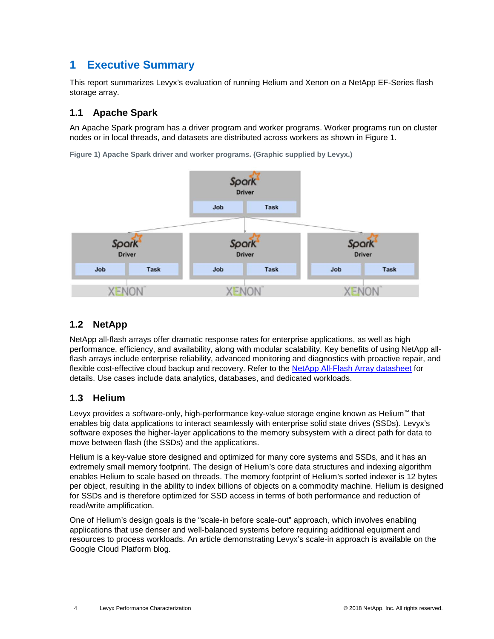## <span id="page-3-0"></span>**1 Executive Summary**

This report summarizes Levyx's evaluation of running Helium and Xenon on a NetApp EF-Series flash storage array.

### <span id="page-3-1"></span>**1.1 Apache Spark**

An Apache Spark program has a driver program and worker programs. Worker programs run on cluster nodes or in local threads, and datasets are distributed across workers as shown in [Figure 1.](#page-3-4)



<span id="page-3-4"></span>**Figure 1) Apache Spark driver and worker programs. (Graphic supplied by Levyx.)**

## <span id="page-3-2"></span>**1.2 NetApp**

NetApp all-flash arrays offer dramatic response rates for enterprise applications, as well as high performance, efficiency, and availability, along with modular scalability. Key benefits of using NetApp allflash arrays include enterprise reliability, advanced monitoring and diagnostics with proactive repair, and flexible cost-effective cloud backup and recovery. Refer to the [NetApp All-Flash Array datasheet](https://www.netapp.com/us/media/ds-3519-ef550.pdf) for details. Use cases include data analytics, databases, and dedicated workloads.

### <span id="page-3-3"></span>**1.3 Helium**

Levyx provides a software-only, high-performance key-value storage engine known as Helium™ that enables big data applications to interact seamlessly with enterprise solid state drives (SSDs). Levyx's software exposes the higher-layer applications to the memory subsystem with a direct path for data to move between flash (the SSDs) and the applications.

Helium is a key-value store designed and optimized for many core systems and SSDs, and it has an extremely small memory footprint. The design of Helium's core data structures and indexing algorithm enables Helium to scale based on threads. The memory footprint of Helium's sorted indexer is 12 bytes per object, resulting in the ability to index billions of objects on a commodity machine. Helium is designed for SSDs and is therefore optimized for SSD access in terms of both performance and reduction of read/write amplification.

One of Helium's design goals is the "scale-in before scale-out" approach, which involves enabling applications that use denser and well-balanced systems before requiring additional equipment and resources to process workloads. An article demonstrating Levyx's scale-in approach is available on the Google Cloud Platform blog.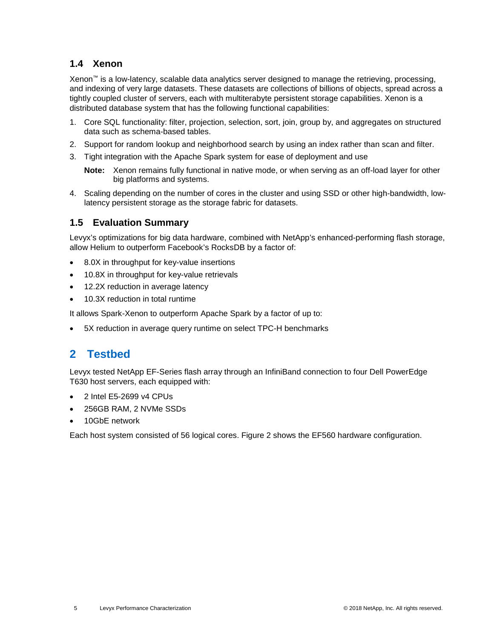### <span id="page-4-0"></span>**1.4 Xenon**

Xenon™ is a low-latency, scalable data analytics server designed to manage the retrieving, processing, and indexing of very large datasets. These datasets are collections of billions of objects, spread across a tightly coupled cluster of servers, each with multiterabyte persistent storage capabilities. Xenon is a distributed database system that has the following functional capabilities:

- 1. Core SQL functionality: filter, projection, selection, sort, join, group by, and aggregates on structured data such as schema-based tables.
- 2. Support for random lookup and neighborhood search by using an index rather than scan and filter.
- 3. Tight integration with the Apache Spark system for ease of deployment and use
	- **Note:** Xenon remains fully functional in native mode, or when serving as an off-load layer for other big platforms and systems.
- 4. Scaling depending on the number of cores in the cluster and using SSD or other high-bandwidth, lowlatency persistent storage as the storage fabric for datasets.

### <span id="page-4-1"></span>**1.5 Evaluation Summary**

Levyx's optimizations for big data hardware, combined with NetApp's enhanced-performing flash storage, allow Helium to outperform Facebook's RocksDB by a factor of:

- 8.0X in throughput for key-value insertions
- 10.8X in throughput for key-value retrievals
- 12.2X reduction in average latency
- 10.3X reduction in total runtime

It allows Spark-Xenon to outperform Apache Spark by a factor of up to:

<span id="page-4-2"></span>5X reduction in average query runtime on select TPC-H benchmarks

## **2 Testbed**

Levyx tested NetApp EF-Series flash array through an InfiniBand connection to four Dell PowerEdge T630 host servers, each equipped with:

- 2 Intel E5-2699 v4 CPUs
- 256GB RAM, 2 NVMe SSDs
- 10GbE network

Each host system consisted of 56 logical cores. [Figure 2](#page-5-2) shows the EF560 hardware configuration.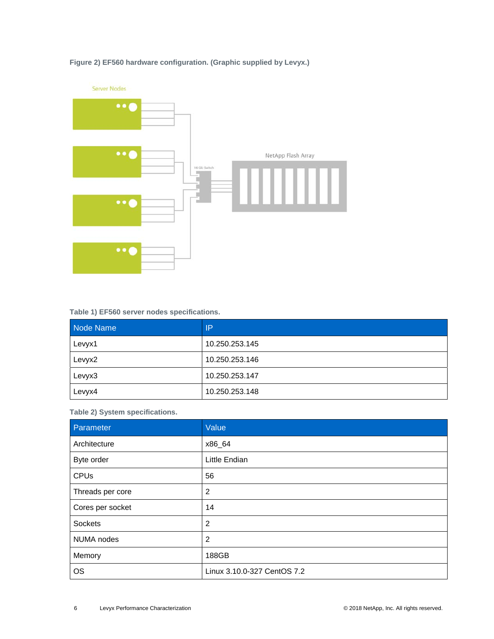

### <span id="page-5-2"></span>**Figure 2) EF560 hardware configuration. (Graphic supplied by Levyx.)**

#### <span id="page-5-0"></span>**Table 1) EF560 server nodes specifications.**

| Node Name | IP             |
|-----------|----------------|
| Levyx1    | 10.250.253.145 |
| Levyx2    | 10.250.253.146 |
| Levyx3    | 10.250.253.147 |
| Levyx4    | 10.250.253.148 |

<span id="page-5-1"></span>**Table 2) System specifications.**

| Parameter        | Value                       |
|------------------|-----------------------------|
| Architecture     | x86_64                      |
| Byte order       | Little Endian               |
| <b>CPUs</b>      | 56                          |
| Threads per core | 2                           |
| Cores per socket | 14                          |
| Sockets          | $\overline{2}$              |
| NUMA nodes       | $\overline{2}$              |
| Memory           | 188GB                       |
| <b>OS</b>        | Linux 3.10.0-327 CentOS 7.2 |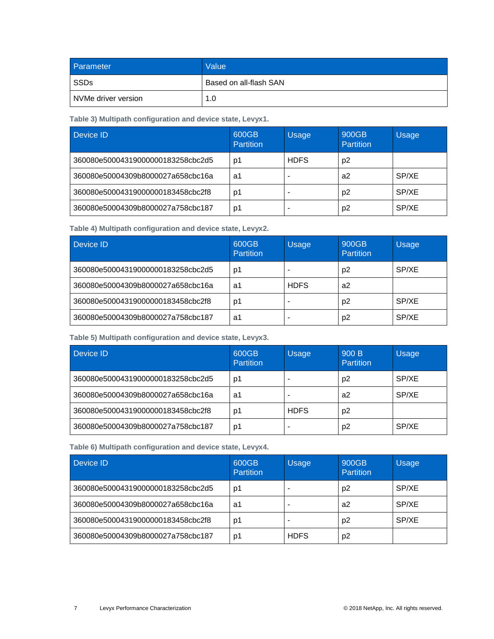| <b>Parameter</b>    | Value                  |
|---------------------|------------------------|
| SSDs                | Based on all-flash SAN |
| NVMe driver version | 1.0                    |

<span id="page-6-0"></span>**Table 3) Multipath configuration and device state, Levyx1.**

| Device ID                         | 600GB<br><b>Partition</b> | <b>Usage</b> | 900GB<br>Partition | <b>Usage</b> |
|-----------------------------------|---------------------------|--------------|--------------------|--------------|
| 360080e50004319000000183258cbc2d5 | D1                        | <b>HDFS</b>  | p2                 |              |
| 360080e50004309b8000027a658cbc16a | a1                        |              | a2                 | SP/XE        |
| 360080e50004319000000183458cbc2f8 | p1                        |              | p <sub>2</sub>     | SP/XE        |
| 360080e50004309b8000027a758cbc187 | p1                        |              | p <sub>2</sub>     | SP/XE        |

<span id="page-6-1"></span>**Table 4) Multipath configuration and device state, Levyx2.**

| Device ID                         | 600GB<br><b>Partition</b> | <b>Usage</b> | 900GB<br>Partition | <b>Usage</b> |
|-----------------------------------|---------------------------|--------------|--------------------|--------------|
| 360080e50004319000000183258cbc2d5 | p1                        |              | p2                 | SP/XE        |
| 360080e50004309b8000027a658cbc16a | a1                        | <b>HDFS</b>  | a2                 |              |
| 360080e50004319000000183458cbc2f8 | p1                        |              | p <sub>2</sub>     | SP/XE        |
| 360080e50004309b8000027a758cbc187 | a1                        |              | p <sub>2</sub>     | SP/XE        |

<span id="page-6-2"></span>**Table 5) Multipath configuration and device state, Levyx3.**

| Device ID                         | 600GB<br>Partition | <b>Usage</b> | 900B<br>Partition | <b>Usage</b> |
|-----------------------------------|--------------------|--------------|-------------------|--------------|
| 360080e50004319000000183258cbc2d5 | p1                 |              | p <sub>2</sub>    | SP/XE        |
| 360080e50004309b8000027a658cbc16a | a1                 |              | a2                | SP/XE        |
| 360080e50004319000000183458cbc2f8 | D1                 | <b>HDFS</b>  | p <sub>2</sub>    |              |
| 360080e50004309b8000027a758cbc187 | p1                 |              | p <sub>2</sub>    | SP/XE        |

<span id="page-6-3"></span>**Table 6) Multipath configuration and device state, Levyx4.**

| Device ID                         | 600GB<br><b>Partition</b> | <b>Usage</b> | 900GB<br>Partition | <b>Usage</b> |
|-----------------------------------|---------------------------|--------------|--------------------|--------------|
| 360080e50004319000000183258cbc2d5 | p1                        |              | p <sub>2</sub>     | SP/XE        |
| 360080e50004309b8000027a658cbc16a | a1                        |              | a2                 | SP/XE        |
| 360080e50004319000000183458cbc2f8 | p1                        |              | p <sub>2</sub>     | SP/XE        |
| 360080e50004309b8000027a758cbc187 | p1                        | <b>HDFS</b>  | p <sub>2</sub>     |              |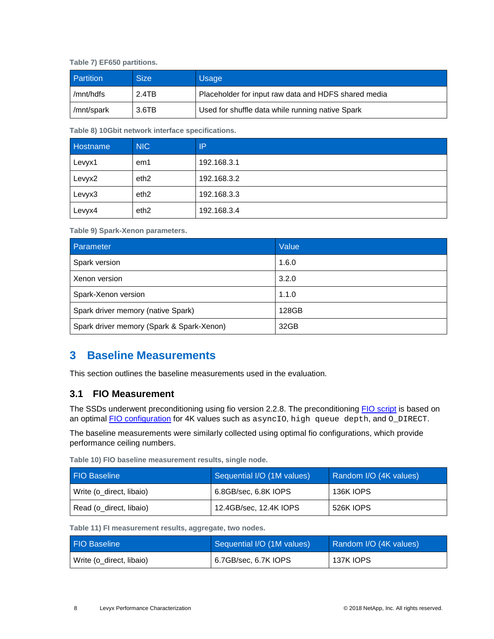<span id="page-7-2"></span>**Table 7) EF650 partitions.**

| <b>Partition</b> | <b>Size</b> | <b>Usage</b>                                         |
|------------------|-------------|------------------------------------------------------|
| /mnt/hdfs        | 2.4TB       | Placeholder for input raw data and HDFS shared media |
| /mnt/spark       | 3.6TB       | Used for shuffle data while running native Spark     |

<span id="page-7-3"></span>**Table 8) 10Gbit network interface specifications.**

| Hostname, | <b>NIC</b>       | ΙP          |
|-----------|------------------|-------------|
| Levyx1    | em1              | 192.168.3.1 |
| Levyx2    | eth <sub>2</sub> | 192.168.3.2 |
| Levyx3    | eth <sub>2</sub> | 192.168.3.3 |
| Levyx4    | eth <sub>2</sub> | 192.168.3.4 |

<span id="page-7-4"></span>**Table 9) Spark-Xenon parameters.**

| Parameter                                 | Value |
|-------------------------------------------|-------|
| Spark version                             | 1.6.0 |
| Xenon version                             | 3.2.0 |
| Spark-Xenon version                       | 1.1.0 |
| Spark driver memory (native Spark)        | 128GB |
| Spark driver memory (Spark & Spark-Xenon) | 32GB  |

## <span id="page-7-0"></span>**3 Baseline Measurements**

This section outlines the baseline measurements used in the evaluation.

### <span id="page-7-1"></span>**3.1 FIO Measurement**

The SSDs underwent preconditioning using fio version 2.2.8. The preconditioning [FIO script](#page-19-2) is based on an optimal [FIO configuration](#page-19-2) for 4K values such as asyncio, high queue depth, and O\_DIRECT.

The baseline measurements were similarly collected using optimal fio configurations, which provide performance ceiling numbers.

<span id="page-7-5"></span>**Table 10) FIO baseline measurement results, single node.**

| <b>FIO Baseline</b>      | Sequential I/O (1M values) | Random I/O (4K values) |
|--------------------------|----------------------------|------------------------|
| Write (o_direct, libaio) | 6.8GB/sec, 6.8K IOPS       | <b>136K IOPS</b>       |
| Read (o_direct, libaio)  | 12.4GB/sec, 12.4K IOPS     | 526K IOPS              |

<span id="page-7-6"></span>**Table 11) FI measurement results, aggregate, two nodes.**

| <b>FIO Baseline</b>      | Sequential I/O (1M values) | Random I/O (4K values) |
|--------------------------|----------------------------|------------------------|
| Write (o direct, libaio) | 6.7GB/sec, 6.7K IOPS       | 137K IOPS              |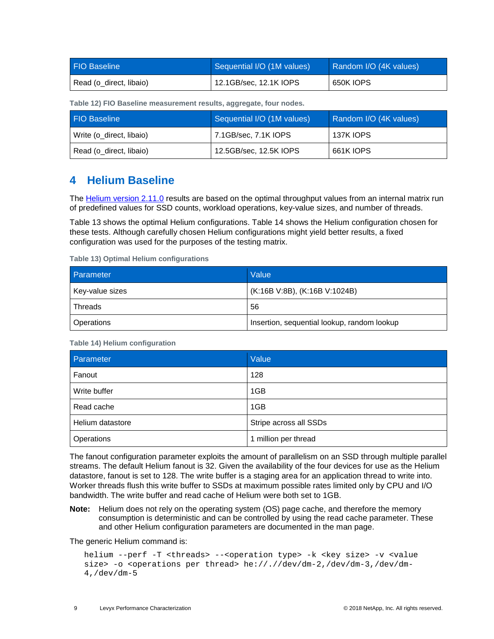| <b>FIO Baseline</b>     | Sequential I/O (1M values) | Random I/O (4K values) |
|-------------------------|----------------------------|------------------------|
| Read (o direct, libaio) | 12.1GB/sec, 12.1K IOPS     | 650K IOPS              |

<span id="page-8-1"></span>**Table 12) FIO Baseline measurement results, aggregate, four nodes.**

| <b>FIO Baseline</b>      | Sequential I/O (1M values) | Random I/O (4K values) |
|--------------------------|----------------------------|------------------------|
| Write (o direct, libaio) | 7.1GB/sec, 7.1K IOPS       | 137K IOPS              |
| Read (o_direct, libaio)  | 12.5GB/sec, 12.5K IOPS     | 661K IOPS              |

## <span id="page-8-0"></span>**4 Helium Baseline**

The [Helium version 2.11.0](#page-19-2) results are based on the optimal throughput values from an internal matrix run of predefined values for SSD counts, workload operations, key-value sizes, and number of threads.

Table 13 shows the optimal Helium configurations. [Table 14](#page-8-3) shows the Helium configuration chosen for these tests. Although carefully chosen Helium configurations might yield better results, a fixed configuration was used for the purposes of the testing matrix.

<span id="page-8-2"></span>**Table 13) Optimal Helium configurations**

| Parameter       | Value                                       |
|-----------------|---------------------------------------------|
| Key-value sizes | (K:16B V:8B), (K:16B V:1024B)               |
| Threads         | 56                                          |
| Operations      | Insertion, sequential lookup, random lookup |

<span id="page-8-3"></span>**Table 14) Helium configuration**

| Parameter        | Value                  |
|------------------|------------------------|
| Fanout           | 128                    |
| Write buffer     | 1GB                    |
| Read cache       | 1GB                    |
| Helium datastore | Stripe across all SSDs |
| Operations       | 1 million per thread   |

The fanout configuration parameter exploits the amount of parallelism on an SSD through multiple parallel streams. The default Helium fanout is 32. Given the availability of the four devices for use as the Helium datastore, fanout is set to 128. The write buffer is a staging area for an application thread to write into. Worker threads flush this write buffer to SSDs at maximum possible rates limited only by CPU and I/O bandwidth. The write buffer and read cache of Helium were both set to 1GB.

**Note:** Helium does not rely on the operating system (OS) page cache, and therefore the memory consumption is deterministic and can be controlled by using the read cache parameter. These and other Helium configuration parameters are documented in the man page.

The generic Helium command is:

```
helium --perf -T <threads> --<operation type> -k <key size> -v <value 
size> -o <operations per thread> he://.//dev/dm-2,/dev/dm-3,/dev/dm-
4,/dev/dm-5
```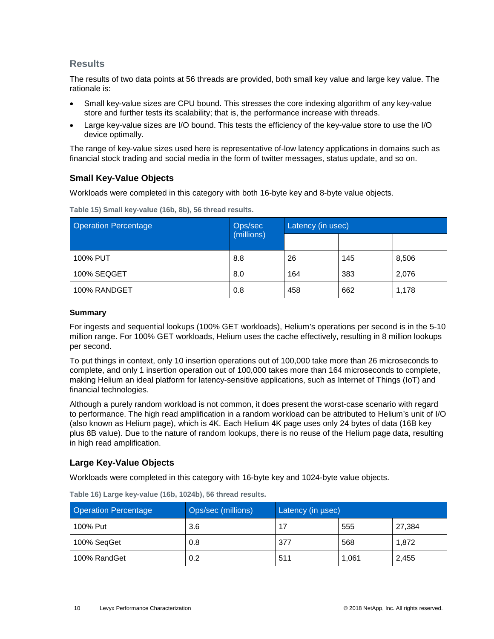### **Results**

The results of two data points at 56 threads are provided, both small key value and large key value. The rationale is:

- Small key-value sizes are CPU bound. This stresses the core indexing algorithm of any key-value store and further tests its scalability; that is, the performance increase with threads.
- Large key-value sizes are I/O bound. This tests the efficiency of the key-value store to use the I/O device optimally.

The range of key-value sizes used here is representative of-low latency applications in domains such as financial stock trading and social media in the form of twitter messages, status update, and so on.

### **Small Key-Value Objects**

Workloads were completed in this category with both 16-byte key and 8-byte value objects.

| <b>Operation Percentage</b> | Ops/sec<br>(millions) | Latency (in usec) |     |       |
|-----------------------------|-----------------------|-------------------|-----|-------|
|                             |                       |                   |     |       |
| 100% PUT                    | 8.8                   | 26                | 145 | 8,506 |
| 100% SEQGET                 | 8.0                   | 164               | 383 | 2,076 |
| 100% RANDGET                | 0.8                   | 458               | 662 | 1,178 |

<span id="page-9-0"></span>**Table 15) Small key-value (16b, 8b), 56 thread results.**

#### **Summary**

For ingests and sequential lookups (100% GET workloads), Helium's operations per second is in the 5-10 million range. For 100% GET workloads, Helium uses the cache effectively, resulting in 8 million lookups per second.

To put things in context, only 10 insertion operations out of 100,000 take more than 26 microseconds to complete, and only 1 insertion operation out of 100,000 takes more than 164 microseconds to complete, making Helium an ideal platform for latency-sensitive applications, such as Internet of Things (IoT) and financial technologies.

Although a purely random workload is not common, it does present the worst-case scenario with regard to performance. The high read amplification in a random workload can be attributed to Helium's unit of I/O (also known as Helium page), which is 4K. Each Helium 4K page uses only 24 bytes of data (16B key plus 8B value). Due to the nature of random lookups, there is no reuse of the Helium page data, resulting in high read amplification.

### **Large Key-Value Objects**

Workloads were completed in this category with 16-byte key and 1024-byte value objects.

| <b>Operation Percentage</b> | Ops/sec (millions) | Latency (in usec) |       |        |
|-----------------------------|--------------------|-------------------|-------|--------|
| 100% Put                    | 3.6                | 17                | 555   | 27.384 |
| 100% SeqGet                 | 0.8                | 377               | 568   | 1,872  |
| 100% RandGet                | 0.2                | 511               | 1.061 | 2,455  |

<span id="page-9-1"></span>**Table 16) Large key-value (16b, 1024b), 56 thread results.**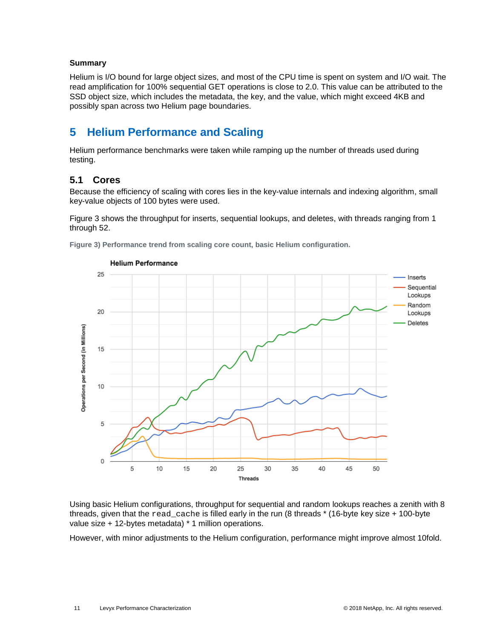#### **Summary**

Helium is I/O bound for large object sizes, and most of the CPU time is spent on system and I/O wait. The read amplification for 100% sequential GET operations is close to 2.0. This value can be attributed to the SSD object size, which includes the metadata, the key, and the value, which might exceed 4KB and possibly span across two Helium page boundaries.

## <span id="page-10-0"></span>**5 Helium Performance and Scaling**

Helium performance benchmarks were taken while ramping up the number of threads used during testing.

### <span id="page-10-1"></span>**5.1 Cores**

Because the efficiency of scaling with cores lies in the key-value internals and indexing algorithm, small key-value objects of 100 bytes were used.

[Figure 3](#page-10-2) shows the throughput for inserts, sequential lookups, and deletes, with threads ranging from 1 through 52.

<span id="page-10-2"></span>**Figure 3) Performance trend from scaling core count, basic Helium configuration.**



Using basic Helium configurations, throughput for sequential and random lookups reaches a zenith with 8 threads, given that the read\_cache is filled early in the run (8 threads \* (16-byte key size + 100-byte

However, with minor adjustments to the Helium configuration, performance might improve almost 10fold.

value size + 12-bytes metadata) \* 1 million operations.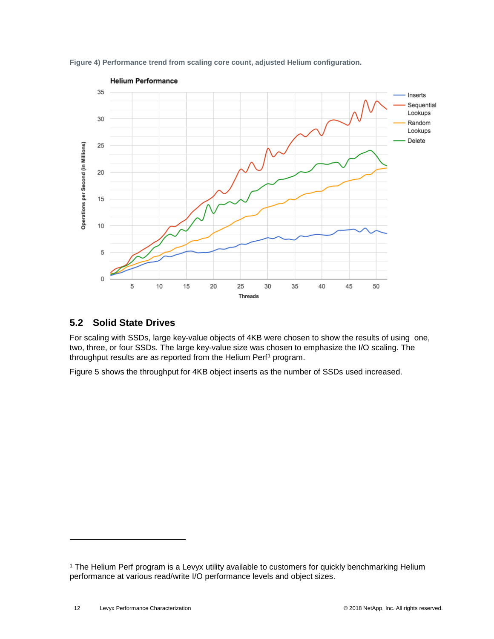

<span id="page-11-1"></span>**Figure 4) Performance trend from scaling core count, adjusted Helium configuration.**

### <span id="page-11-0"></span>**5.2 Solid State Drives**

For scaling with SSDs, large key-value objects of 4KB were chosen to show the results of using one, two, three, or four SSDs. The large key-value size was chosen to emphasize the I/O scaling. The throughput results are as reported from the Helium Perf<sup>[1](#page-11-2)</sup> program.

[Figure 5](#page-12-1) shows the throughput for 4KB object inserts as the number of SSDs used increased.

-

<span id="page-11-2"></span><sup>&</sup>lt;sup>1</sup> The Helium Perf program is a Levyx utility available to customers for quickly benchmarking Helium performance at various read/write I/O performance levels and object sizes.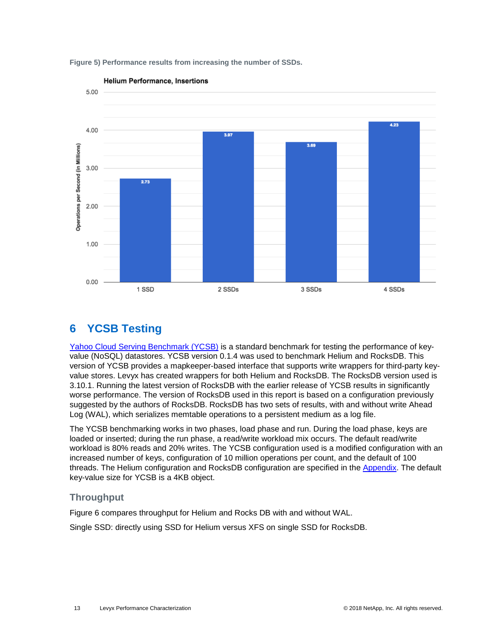

<span id="page-12-1"></span>**Figure 5) Performance results from increasing the number of SSDs.**

## <span id="page-12-0"></span>**6 YCSB Testing**

[Yahoo Cloud Serving Benchmark \(YCSB\)](#page-19-2) is a standard benchmark for testing the performance of keyvalue (NoSQL) datastores. YCSB version 0.1.4 was used to benchmark Helium and RocksDB. This version of YCSB provides a mapkeeper-based interface that supports write wrappers for third-party keyvalue stores. Levyx has created wrappers for both Helium and RocksDB. The RocksDB version used is 3.10.1. Running the latest version of RocksDB with the earlier release of YCSB results in significantly worse performance. The version of RocksDB used in this report is based on a configuration previously suggested by the authors of RocksDB. RocksDB has two sets of results, with and without write Ahead Log (WAL), which serializes memtable operations to a persistent medium as a log file.

The YCSB benchmarking works in two phases, load phase and run. During the load phase, keys are loaded or inserted; during the run phase, a read/write workload mix occurs. The default read/write workload is 80% reads and 20% writes. The YCSB configuration used is a modified configuration with an increased number of keys, configuration of 10 million operations per count, and the default of 100 threads. The Helium configuration and RocksDB configuration are specified in the [Appendix.](#page-17-0) The default key-value size for YCSB is a 4KB object.

### **Throughput**

[Figure 6](#page-13-2) compares throughput for Helium and Rocks DB with and without WAL.

Single SSD: directly using SSD for Helium versus XFS on single SSD for RocksDB.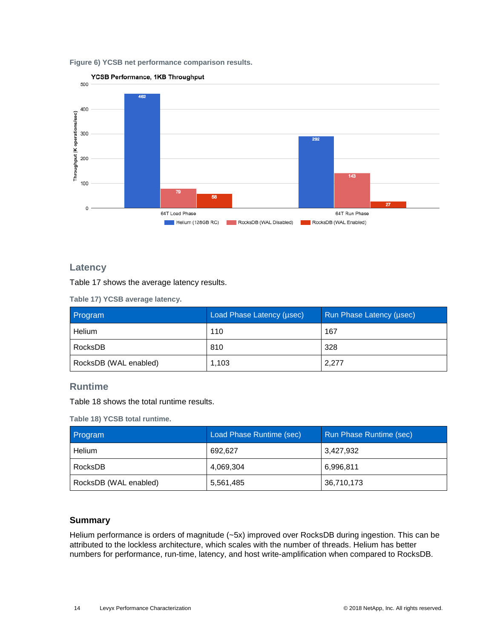<span id="page-13-2"></span>**Figure 6) YCSB net performance comparison results.**



### **Latency**

[Table 17](#page-13-0) shows the average latency results.

<span id="page-13-0"></span>**Table 17) YCSB average latency.**

| Program               | Load Phase Latency (µsec) | Run Phase Latency (usec) |
|-----------------------|---------------------------|--------------------------|
| Helium                | 110                       | 167                      |
| RocksDB               | 810                       | 328                      |
| RocksDB (WAL enabled) | 1,103                     | 2,277                    |

### **Runtime**

[Table 18](#page-13-1) shows the total runtime results.

<span id="page-13-1"></span>**Table 18) YCSB total runtime.**

| <b>Program</b>        | Load Phase Runtime (sec) | <b>Run Phase Runtime (sec)</b> |
|-----------------------|--------------------------|--------------------------------|
| Helium                | 692.627                  | 3.427.932                      |
| RocksDB               | 4,069,304                | 6,996,811                      |
| RocksDB (WAL enabled) | 5,561,485                | 36,710,173                     |

#### **Summary**

Helium performance is orders of magnitude (~5x) improved over RocksDB during ingestion. This can be attributed to the lockless architecture, which scales with the number of threads. Helium has better numbers for performance, run-time, latency, and host write-amplification when compared to RocksDB.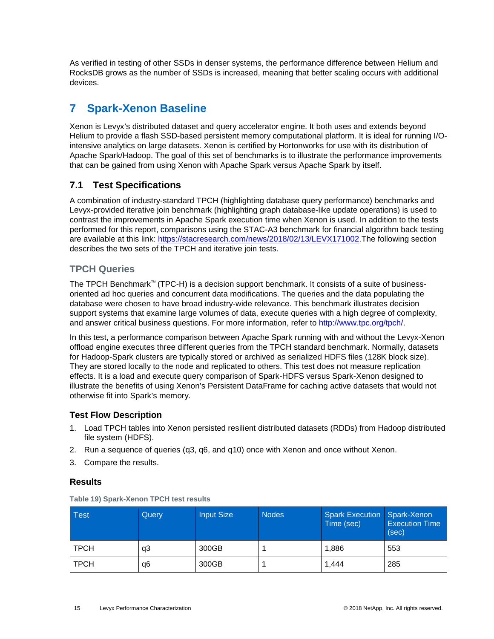As verified in testing of other SSDs in denser systems, the performance difference between Helium and RocksDB grows as the number of SSDs is increased, meaning that better scaling occurs with additional devices.

## <span id="page-14-0"></span>**7 Spark-Xenon Baseline**

Xenon is Levyx's distributed dataset and query accelerator engine. It both uses and extends beyond Helium to provide a flash SSD-based persistent memory computational platform. It is ideal for running I/Ointensive analytics on large datasets. Xenon is certified by Hortonworks for use with its distribution of Apache Spark/Hadoop. The goal of this set of benchmarks is to illustrate the performance improvements that can be gained from using Xenon with Apache Spark versus Apache Spark by itself.

## <span id="page-14-1"></span>**7.1 Test Specifications**

A combination of industry-standard TPCH (highlighting database query performance) benchmarks and Levyx-provided iterative join benchmark (highlighting graph database-like update operations) is used to contrast the improvements in Apache Spark execution time when Xenon is used. In addition to the tests performed for this report, comparisons using the STAC-A3 benchmark for financial algorithm back testing are available at this link: [https://stacresearch.com/news/2018/02/13/LEVX171002.](https://stacresearch.com/news/2018/02/13/LEVX171002) The following section describes the two sets of the TPCH and iterative join tests.

### **TPCH Queries**

The TPCH Benchmark™ (TPC-H) is a decision support benchmark. It consists of a suite of businessoriented ad hoc queries and concurrent data modifications. The queries and the data populating the database were chosen to have broad industry-wide relevance. This benchmark illustrates decision support systems that examine large volumes of data, execute queries with a high degree of complexity, and answer critical business questions. For more information, refer to [http://www.tpc.org/tpch/.](http://www.tpc.org/tpch/)

In this test, a performance comparison between Apache Spark running with and without the Levyx-Xenon offload engine executes three different queries from the TPCH standard benchmark. Normally, datasets for Hadoop-Spark clusters are typically stored or archived as serialized HDFS files (128K block size). They are stored locally to the node and replicated to others. This test does not measure replication effects. It is a load and execute query comparison of Spark-HDFS versus Spark-Xenon designed to illustrate the benefits of using Xenon's Persistent DataFrame for caching active datasets that would not otherwise fit into Spark's memory.

### **Test Flow Description**

- 1. Load TPCH tables into Xenon persisted resilient distributed datasets (RDDs) from Hadoop distributed file system (HDFS).
- 2. Run a sequence of queries (q3, q6, and q10) once with Xenon and once without Xenon.
- 3. Compare the results.

### **Results**

| Test        | Query | <b>Input Size</b> | <b>Nodes</b> | Spark Execution Spark-Xenon<br>Time (sec) | <b>Execution Time</b><br>(sec) |
|-------------|-------|-------------------|--------------|-------------------------------------------|--------------------------------|
| <b>TPCH</b> | qЗ    | 300GB             |              | 1,886                                     | 553                            |
| <b>TPCH</b> | q6    | 300GB             |              | 1,444                                     | 285                            |

<span id="page-14-2"></span>**Table 19) Spark-Xenon TPCH test results**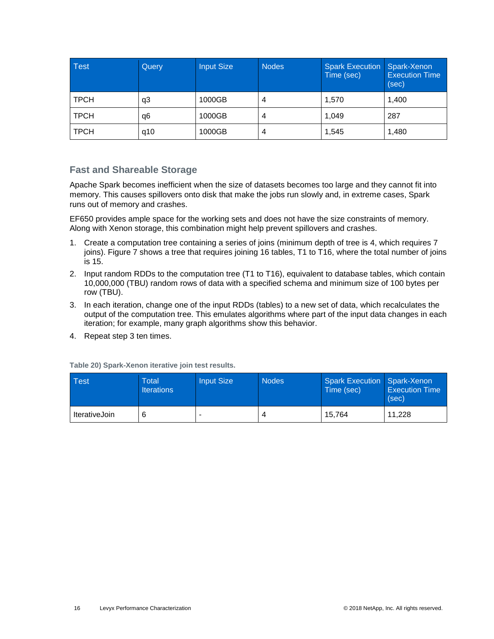| <b>Test</b> | Query | <b>Input Size</b> | <b>Nodes</b> | <b>Spark Execution</b><br>Time (sec) | Spark-Xenon<br><b>Execution Time</b><br>(sec) |
|-------------|-------|-------------------|--------------|--------------------------------------|-----------------------------------------------|
| <b>TPCH</b> | q3    | 1000GB            | 4            | 1,570                                | 1,400                                         |
| <b>TPCH</b> | q6    | 1000GB            | 4            | 1.049                                | 287                                           |
| <b>TPCH</b> | q10   | 1000GB            | 4            | 1,545                                | 1,480                                         |

### **Fast and Shareable Storage**

Apache Spark becomes inefficient when the size of datasets becomes too large and they cannot fit into memory. This causes spillovers onto disk that make the jobs run slowly and, in extreme cases, Spark runs out of memory and crashes.

EF650 provides ample space for the working sets and does not have the size constraints of memory. Along with Xenon storage, this combination might help prevent spillovers and crashes.

- 1. Create a computation tree containing a series of joins (minimum depth of tree is 4, which requires 7 joins). [Figure 7](#page-16-0) shows a tree that requires joining 16 tables, T1 to T16, where the total number of joins is 15.
- 2. Input random RDDs to the computation tree (T1 to T16), equivalent to database tables, which contain 10,000,000 (TBU) random rows of data with a specified schema and minimum size of 100 bytes per row (TBU).
- 3. In each iteration, change one of the input RDDs (tables) to a new set of data, which recalculates the output of the computation tree. This emulates algorithms where part of the input data changes in each iteration; for example, many graph algorithms show this behavior.
- 4. Repeat step 3 ten times.

| <b>Test</b>   | Total<br><b>Iterations</b> | <b>Input Size</b> | <b>Nodes</b> | <b>Spark Execution Spark-Xenon</b><br>Time (sec) | <b>Execution Time</b><br>(sec) |
|---------------|----------------------------|-------------------|--------------|--------------------------------------------------|--------------------------------|
| IterativeJoin |                            |                   | 4            | 15.764                                           | 11.228                         |

<span id="page-15-0"></span>**Table 20) Spark-Xenon iterative join test results.**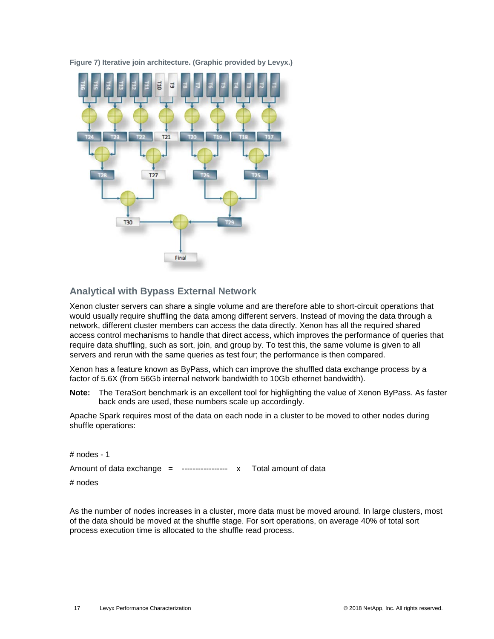<span id="page-16-0"></span>**Figure 7) Iterative join architecture. (Graphic provided by Levyx.)**



### **Analytical with Bypass External Network**

Xenon cluster servers can share a single volume and are therefore able to short-circuit operations that would usually require shuffling the data among different servers. Instead of moving the data through a network, different cluster members can access the data directly. Xenon has all the required shared access control mechanisms to handle that direct access, which improves the performance of queries that require data shuffling, such as sort, join, and group by. To test this, the same volume is given to all servers and rerun with the same queries as test four; the performance is then compared.

Xenon has a feature known as ByPass, which can improve the shuffled data exchange process by a factor of 5.6X (from 56Gb internal network bandwidth to 10Gb ethernet bandwidth).

**Note:** The TeraSort benchmark is an excellent tool for highlighting the value of Xenon ByPass. As faster back ends are used, these numbers scale up accordingly.

Apache Spark requires most of the data on each node in a cluster to be moved to other nodes during shuffle operations:

| # nodes - 1                                                        |  |  |
|--------------------------------------------------------------------|--|--|
| Amount of data exchange = ----------------- x Total amount of data |  |  |
| # nodes                                                            |  |  |

As the number of nodes increases in a cluster, more data must be moved around. In large clusters, most of the data should be moved at the shuffle stage. For sort operations, on average 40% of total sort process execution time is allocated to the shuffle read process.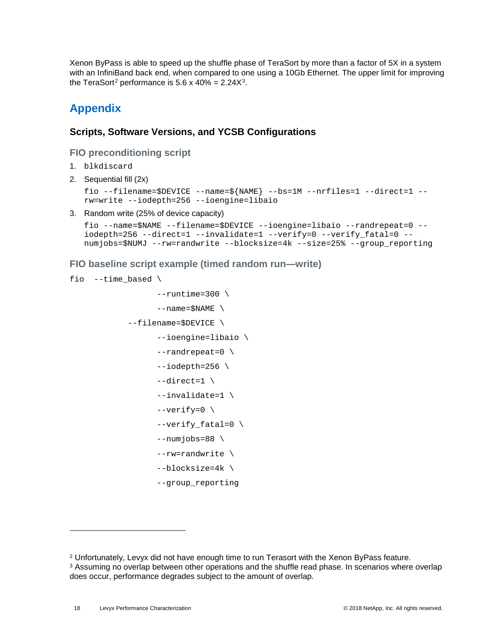Xenon ByPass is able to speed up the shuffle phase of TeraSort by more than a factor of 5X in a system with an InfiniBand back end, when compared to one using a 10Gb Ethernet. The upper limit for improving the TeraSort<sup>[2](#page-17-2)</sup> performance is 5.6 x 40% =  $2.24X^3$ .

## <span id="page-17-0"></span>**Appendix**

### <span id="page-17-1"></span>**Scripts, Software Versions, and YCSB Configurations**

### **FIO preconditioning script**

- 1. blkdiscard
- 2. Sequential fill (2x)

```
fio --filename=$DEVICE --name=${NAME} --bs=1M --nrfiles=1 --direct=1 --
rw=write --iodepth=256 --ioengine=libaio
```
3. Random write (25% of device capacity)

```
fio --name=$NAME --filename=$DEVICE --ioengine=libaio --randrepeat=0 --
iodepth=256 --direct=1 --invalidate=1 --verify=0 --verify_fatal=0 --
numjobs=$NUMJ --rw=randwrite --blocksize=4k --size=25% --group_reporting
```
**FIO baseline script example (timed random run—write)**

```
fio --time_based \
                     --runtime=300 \ \ \backslash--name=\$NAME \ \ \ \ \ \ --filename=$DEVICE \
                      --ioengine=libaio \
                      --randrepeat=0 \
                     -iodepth=256 \
                     -direct=1 \
                      --invalidate=1 \
                      --verify=0 \
                     --verify fatal=0 \backslash--numjobs=88 --rw=randwrite \
                      --blocksize=4k \
                      --group_reporting
```
-

<sup>2</sup> Unfortunately, Levyx did not have enough time to run Terasort with the Xenon ByPass feature.

<span id="page-17-3"></span><span id="page-17-2"></span><sup>&</sup>lt;sup>3</sup> Assuming no overlap between other operations and the shuffle read phase. In scenarios where overlap does occur, performance degrades subject to the amount of overlap.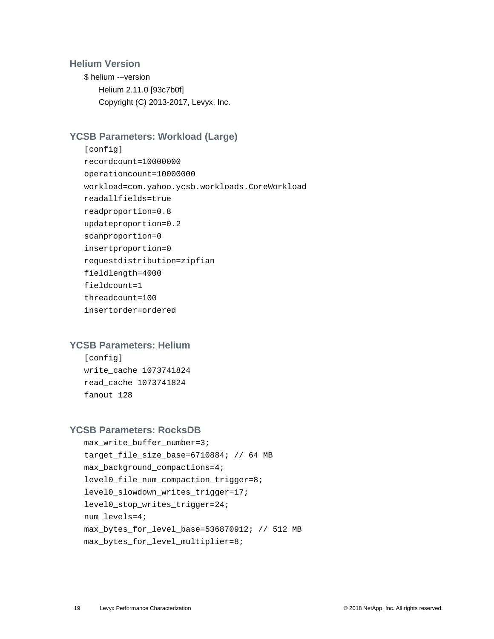### **Helium Version**

\$ helium -–version Helium 2.11.0 [93c7b0f] Copyright (C) 2013-2017, Levyx, Inc.

### **YCSB Parameters: Workload (Large)**

```
[config] 
recordcount=10000000
operationcount=10000000
workload=com.yahoo.ycsb.workloads.CoreWorkload
readallfields=true
readproportion=0.8
updateproportion=0.2
scanproportion=0
insertproportion=0
requestdistribution=zipfian
fieldlength=4000
fieldcount=1
threadcount=100
insertorder=ordered
```
### **YCSB Parameters: Helium**

[config] write\_cache 1073741824 read\_cache 1073741824 fanout 128

#### **YCSB Parameters: RocksDB**

```
max write buffer number=3;
target_file_size_base=6710884; // 64 MB
max_background_compactions=4;
level0_file_num_compaction_trigger=8;
level0_slowdown_writes_trigger=17;
level0_stop_writes_trigger=24;
num_levels=4;
max_bytes_for_level_base=536870912; // 512 MB
max_bytes_for_level_multiplier=8;
```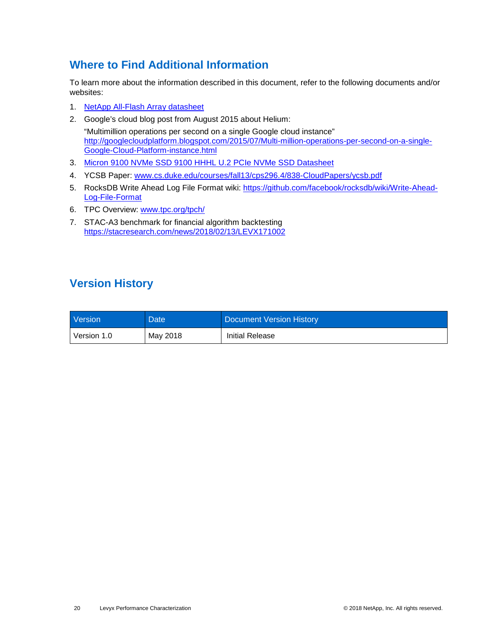## <span id="page-19-0"></span>**Where to Find Additional Information**

To learn more about the information described in this document, refer to the following documents and/or websites:

- 1. [NetApp All-Flash Array datasheet](https://www.netapp.com/us/media/ds-3519-ef550.pdf)
- 2. Google's cloud blog post from August 2015 about Helium: "Multimillion operations per second on a single Google cloud instance" [http://googlecloudplatform.blogspot.com/2015/07/Multi-million-operations-per-second-on-a-single-](http://googlecloudplatform.blogspot.com/2015/07/Multi-million-operations-per-second-on-a-single-Google-Cloud-Platform-instance.html)[Google-Cloud-Platform-instance.html](http://googlecloudplatform.blogspot.com/2015/07/Multi-million-operations-per-second-on-a-single-Google-Cloud-Platform-instance.html)
- 3. Micron 9100 NVMe SSD 9100 HHHL U.2 PCIe NVMe SSD Datasheet
- 4. YCSB Paper: [www.cs.duke.edu/courses/fall13/cps296.4/838-CloudPapers/ycsb.pdf](https://www.cs.duke.edu/courses/fall13/cps296.4/838-CloudPapers/ycsb.pdf)
- 5. RocksDB Write Ahead Log File Format wiki: [https://github.com/facebook/rocksdb/wiki/Write-Ahead-](https://github.com/facebook/rocksdb/wiki/Write-Ahead-Log-File-Format)[Log-File-Format](https://github.com/facebook/rocksdb/wiki/Write-Ahead-Log-File-Format)
- 6. TPC Overview: [www.tpc.org/tpch/](http://www.tpc.org/tpch/)
- 7. STAC-A3 benchmark for financial algorithm backtesting <https://stacresearch.com/news/2018/02/13/LEVX171002>

## <span id="page-19-2"></span><span id="page-19-1"></span>**Version History**

| <b>Version</b> | Date <sup>1</sup> | Document Version History |
|----------------|-------------------|--------------------------|
| Version 1.0    | May 2018          | Initial Release          |